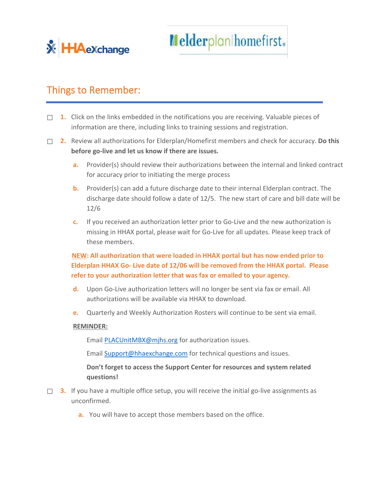

## Things to Remember:

- ☐ **1.** Click on the links embedded in the notifications you are receiving. Valuable pieces of information are there, including links to training sessions and registration.
- ☐ **2.** Review all authorizations for Elderplan/Homefirst members and check for accuracy. **Do this before go-live and let us know if there are issues.**
	- **a.** Provider(s) should review their authorizations between the internal and linked contract for accuracy prior to initiating the merge process
	- **b.** Provider(s) can add a future discharge date to their internal Elderplan contract. The discharge date should follow a date of 12/5. The new start of care and bill date will be 12/6
	- **c.** If you received an authorization letter prior to Go-Live and the new authorization is missing in HHAX portal, please wait for Go-Live for all updates. Please keep track of these members.

 **NEW: All authorization that were loaded in HHAX portal but has now ended prior to Elderplan HHAX Go- Live date of 12/06 will be removed from the HHAX portal. Please refer to your authorization letter that was fax or emailed to your agency.**

- **d.** Upon Go-Live authorization letters will no longer be sent via fax or email. All authorizations will be available via HHAX to download.
- **e.** Quarterly and Weekly Authorization Rosters will continue to be sent via email.

## **REMINDER:**

Email [PLACUnitMBX@mjhs.org](mailto:PLACUnitMBX@mjhs.org) for authorization issues.

Email [Support@hhaexchange.com](mailto:Support@hhaexchange.com) for technical questions and issues.

**Don't forget to access the Support Center for resources and system related questions!**

- □ **3.** If you have a multiple office setup, you will receive the initial go-live assignments as unconfirmed.
	- **a.** You will have to accept those members based on the office.